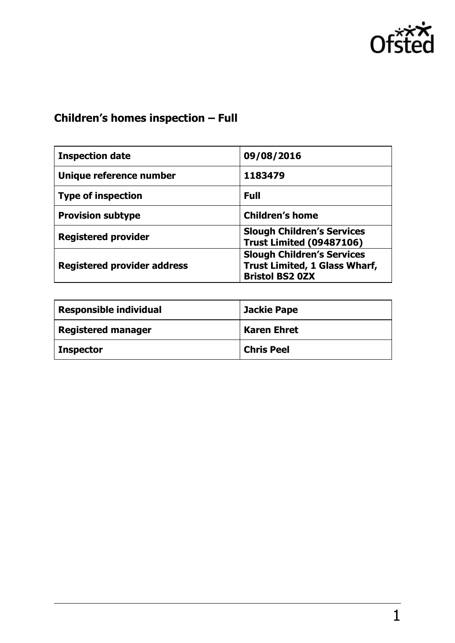

# **Children's homes inspection – Full**

| <b>Inspection date</b>             | 09/08/2016                                                                                          |
|------------------------------------|-----------------------------------------------------------------------------------------------------|
| Unique reference number            | 1183479                                                                                             |
| <b>Type of inspection</b>          | <b>Full</b>                                                                                         |
| <b>Provision subtype</b>           | <b>Children's home</b>                                                                              |
| <b>Registered provider</b>         | <b>Slough Children's Services</b><br><b>Trust Limited (09487106)</b>                                |
| <b>Registered provider address</b> | <b>Slough Children's Services</b><br><b>Trust Limited, 1 Glass Wharf,</b><br><b>Bristol BS2 0ZX</b> |

| <b>Responsible individual</b> | <b>Jackie Pape</b> |
|-------------------------------|--------------------|
| <b>Registered manager</b>     | <b>Karen Ehret</b> |
| <b>Inspector</b>              | <b>Chris Peel</b>  |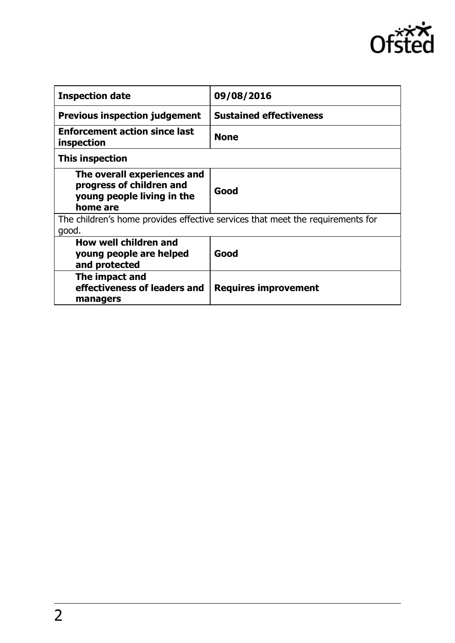

| <b>Inspection date</b>                                                                            | 09/08/2016                     |
|---------------------------------------------------------------------------------------------------|--------------------------------|
| <b>Previous inspection judgement</b>                                                              | <b>Sustained effectiveness</b> |
| <b>Enforcement action since last</b><br>inspection                                                | <b>None</b>                    |
| This inspection                                                                                   |                                |
| The overall experiences and<br>progress of children and<br>young people living in the<br>home are | Good                           |
| The children's home provides effective services that meet the requirements for<br>good.           |                                |
| How well children and<br>young people are helped<br>and protected                                 | Good                           |
| The impact and<br>effectiveness of leaders and<br>managers                                        | Requires improvement           |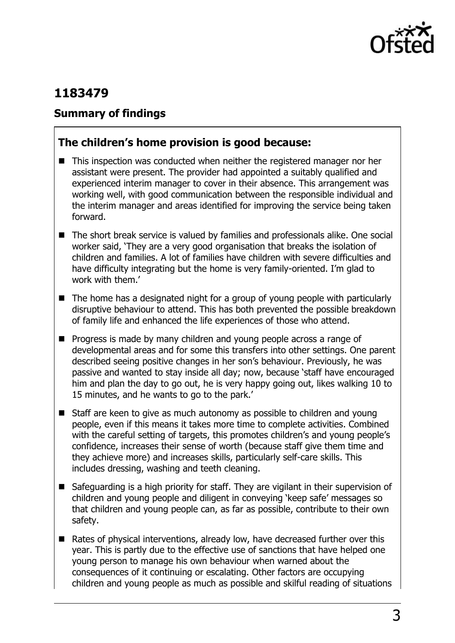

## **1183479**

#### **Summary of findings**

#### **The children's home provision is good because:**

- This inspection was conducted when neither the registered manager nor her assistant were present. The provider had appointed a suitably qualified and experienced interim manager to cover in their absence. This arrangement was working well, with good communication between the responsible individual and the interim manager and areas identified for improving the service being taken forward.
- The short break service is valued by families and professionals alike. One social worker said, 'They are a very good organisation that breaks the isolation of children and families. A lot of families have children with severe difficulties and have difficulty integrating but the home is very family-oriented. I'm glad to work with them.'
- $\blacksquare$  The home has a designated night for a group of young people with particularly disruptive behaviour to attend. This has both prevented the possible breakdown of family life and enhanced the life experiences of those who attend.
- **Progress is made by many children and young people across a range of** developmental areas and for some this transfers into other settings. One parent described seeing positive changes in her son's behaviour. Previously, he was passive and wanted to stay inside all day; now, because 'staff have encouraged him and plan the day to go out, he is very happy going out, likes walking 10 to 15 minutes, and he wants to go to the park.'
- Staff are keen to give as much autonomy as possible to children and young people, even if this means it takes more time to complete activities. Combined with the careful setting of targets, this promotes children's and young people's confidence, increases their sense of worth (because staff give them time and they achieve more) and increases skills, particularly self-care skills. This includes dressing, washing and teeth cleaning.
- Safeguarding is a high priority for staff. They are vigilant in their supervision of children and young people and diligent in conveying 'keep safe' messages so that children and young people can, as far as possible, contribute to their own safety.
- Rates of physical interventions, already low, have decreased further over this year. This is partly due to the effective use of sanctions that have helped one young person to manage his own behaviour when warned about the consequences of it continuing or escalating. Other factors are occupying children and young people as much as possible and skilful reading of situations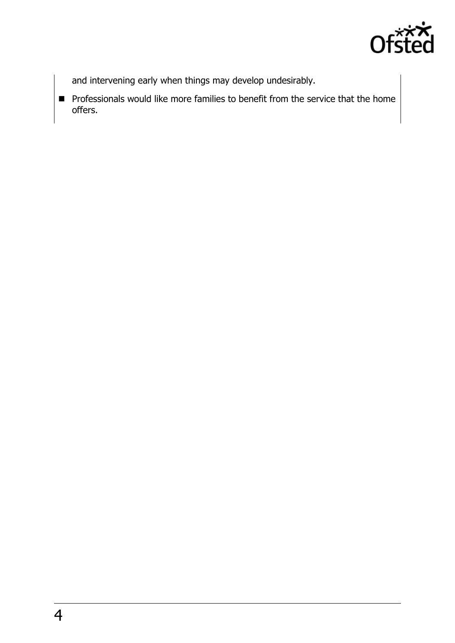

and intervening early when things may develop undesirably.

 $\blacksquare$  Professionals would like more families to benefit from the service that the home offers.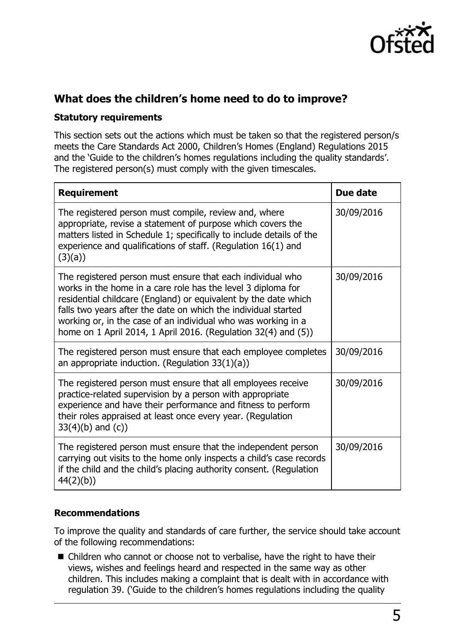

#### **What does the children's home need to do to improve?**

#### **Statutory requirements**

This section sets out the actions which must be taken so that the registered person/s meets the Care Standards Act 2000, Children's Homes (England) Regulations 2015 and the 'Guide to the children's homes regulations including the quality standards'. The registered person(s) must comply with the given timescales.

| <b>Requirement</b>                                                                                                                                                                                                                                                                                                                                                                                 | Due date   |
|----------------------------------------------------------------------------------------------------------------------------------------------------------------------------------------------------------------------------------------------------------------------------------------------------------------------------------------------------------------------------------------------------|------------|
| The registered person must compile, review and, where<br>appropriate, revise a statement of purpose which covers the<br>matters listed in Schedule 1; specifically to include details of the<br>experience and qualifications of staff. (Regulation 16(1) and<br>(3)(a))                                                                                                                           | 30/09/2016 |
| The registered person must ensure that each individual who<br>works in the home in a care role has the level 3 diploma for<br>residential childcare (England) or equivalent by the date which<br>falls two years after the date on which the individual started<br>working or, in the case of an individual who was working in a<br>home on 1 April 2014, 1 April 2016. (Regulation 32(4) and (5)) | 30/09/2016 |
| The registered person must ensure that each employee completes<br>an appropriate induction. (Regulation $33(1)(a)$ )                                                                                                                                                                                                                                                                               | 30/09/2016 |
| The registered person must ensure that all employees receive<br>practice-related supervision by a person with appropriate<br>experience and have their performance and fitness to perform<br>their roles appraised at least once every year. (Regulation<br>$33(4)(b)$ and $(c)$ )                                                                                                                 | 30/09/2016 |
| The registered person must ensure that the independent person<br>carrying out visits to the home only inspects a child's case records<br>if the child and the child's placing authority consent. (Regulation<br>44(2)(b)                                                                                                                                                                           | 30/09/2016 |

#### **Recommendations**

To improve the quality and standards of care further, the service should take account of the following recommendations:

■ Children who cannot or choose not to verbalise, have the right to have their views, wishes and feelings heard and respected in the same way as other children. This includes making a complaint that is dealt with in accordance with regulation 39. ('Guide to the children's homes regulations including the quality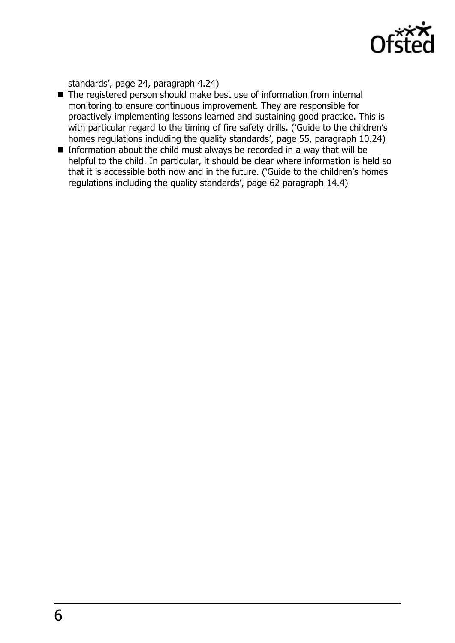

standards', page 24, paragraph 4.24)

- The registered person should make best use of information from internal monitoring to ensure continuous improvement. They are responsible for proactively implementing lessons learned and sustaining good practice. This is with particular regard to the timing of fire safety drills. ('Guide to the children's homes regulations including the quality standards', page 55, paragraph 10.24)
- Information about the child must always be recorded in a way that will be helpful to the child. In particular, it should be clear where information is held so that it is accessible both now and in the future. ('Guide to the children's homes regulations including the quality standards', page 62 paragraph 14.4)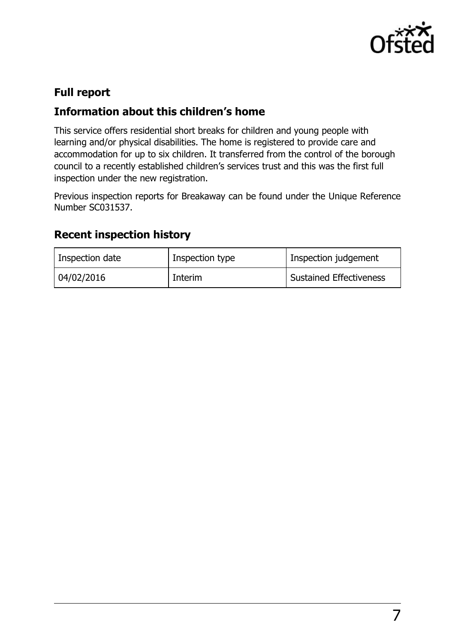

### **Full report**

#### **Information about this children's home**

This service offers residential short breaks for children and young people with learning and/or physical disabilities. The home is registered to provide care and accommodation for up to six children. It transferred from the control of the borough council to a recently established children's services trust and this was the first full inspection under the new registration.

Previous inspection reports for Breakaway can be found under the Unique Reference Number SC031537.

#### **Recent inspection history**

| Inspection date | Inspection type | Inspection judgement           |
|-----------------|-----------------|--------------------------------|
| 04/02/2016      | Interim         | <b>Sustained Effectiveness</b> |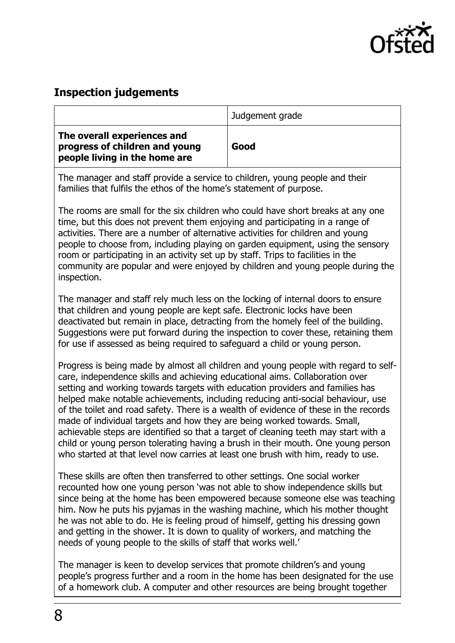

#### **Inspection judgements**

|                                                                                                | Judgement grade |
|------------------------------------------------------------------------------------------------|-----------------|
| The overall experiences and<br>progress of children and young<br>people living in the home are | Good            |

The manager and staff provide a service to children, young people and their families that fulfils the ethos of the home's statement of purpose.

The rooms are small for the six children who could have short breaks at any one time, but this does not prevent them enjoying and participating in a range of activities. There are a number of alternative activities for children and young people to choose from, including playing on garden equipment, using the sensory room or participating in an activity set up by staff. Trips to facilities in the community are popular and were enjoyed by children and young people during the inspection.

The manager and staff rely much less on the locking of internal doors to ensure that children and young people are kept safe. Electronic locks have been deactivated but remain in place, detracting from the homely feel of the building. Suggestions were put forward during the inspection to cover these, retaining them for use if assessed as being required to safeguard a child or young person.

Progress is being made by almost all children and young people with regard to selfcare, independence skills and achieving educational aims. Collaboration over setting and working towards targets with education providers and families has helped make notable achievements, including reducing anti-social behaviour, use of the toilet and road safety. There is a wealth of evidence of these in the records made of individual targets and how they are being worked towards. Small, achievable steps are identified so that a target of cleaning teeth may start with a child or young person tolerating having a brush in their mouth. One young person who started at that level now carries at least one brush with him, ready to use.

These skills are often then transferred to other settings. One social worker recounted how one young person 'was not able to show independence skills but since being at the home has been empowered because someone else was teaching him. Now he puts his pyjamas in the washing machine, which his mother thought he was not able to do. He is feeling proud of himself, getting his dressing gown and getting in the shower. It is down to quality of workers, and matching the needs of young people to the skills of staff that works well.'

The manager is keen to develop services that promote children's and young people's progress further and a room in the home has been designated for the use of a homework club. A computer and other resources are being brought together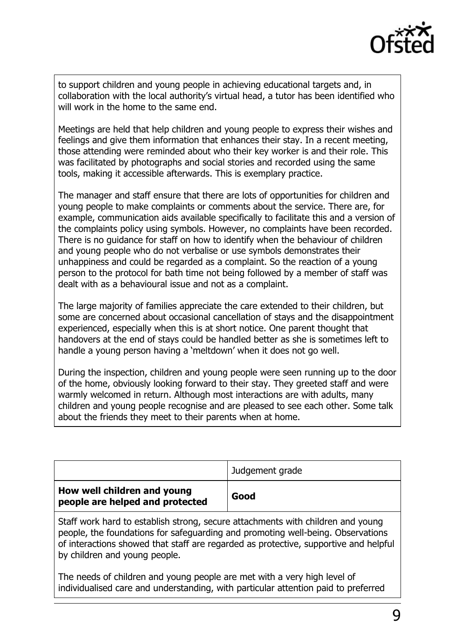

to support children and young people in achieving educational targets and, in collaboration with the local authority's virtual head, a tutor has been identified who will work in the home to the same end.

Meetings are held that help children and young people to express their wishes and feelings and give them information that enhances their stay. In a recent meeting, those attending were reminded about who their key worker is and their role. This was facilitated by photographs and social stories and recorded using the same tools, making it accessible afterwards. This is exemplary practice.

The manager and staff ensure that there are lots of opportunities for children and young people to make complaints or comments about the service. There are, for example, communication aids available specifically to facilitate this and a version of the complaints policy using symbols. However, no complaints have been recorded. There is no guidance for staff on how to identify when the behaviour of children and young people who do not verbalise or use symbols demonstrates their unhappiness and could be regarded as a complaint. So the reaction of a young person to the protocol for bath time not being followed by a member of staff was dealt with as a behavioural issue and not as a complaint.

The large majority of families appreciate the care extended to their children, but some are concerned about occasional cancellation of stays and the disappointment experienced, especially when this is at short notice. One parent thought that handovers at the end of stays could be handled better as she is sometimes left to handle a young person having a 'meltdown' when it does not go well.

During the inspection, children and young people were seen running up to the door of the home, obviously looking forward to their stay. They greeted staff and were warmly welcomed in return. Although most interactions are with adults, many children and young people recognise and are pleased to see each other. Some talk about the friends they meet to their parents when at home.

|                                                                | Judgement grade |
|----------------------------------------------------------------|-----------------|
| How well children and young<br>people are helped and protected | Good            |

Staff work hard to establish strong, secure attachments with children and young people, the foundations for safeguarding and promoting well-being. Observations of interactions showed that staff are regarded as protective, supportive and helpful by children and young people.

The needs of children and young people are met with a very high level of individualised care and understanding, with particular attention paid to preferred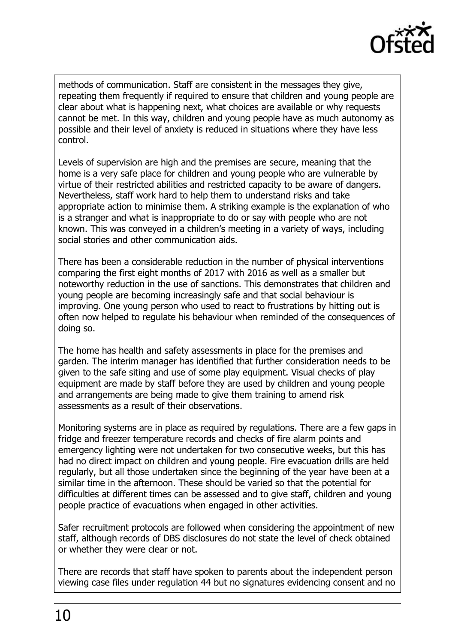

methods of communication. Staff are consistent in the messages they give, repeating them frequently if required to ensure that children and young people are clear about what is happening next, what choices are available or why requests cannot be met. In this way, children and young people have as much autonomy as possible and their level of anxiety is reduced in situations where they have less control.

Levels of supervision are high and the premises are secure, meaning that the home is a very safe place for children and young people who are vulnerable by virtue of their restricted abilities and restricted capacity to be aware of dangers. Nevertheless, staff work hard to help them to understand risks and take appropriate action to minimise them. A striking example is the explanation of who is a stranger and what is inappropriate to do or say with people who are not known. This was conveyed in a children's meeting in a variety of ways, including social stories and other communication aids.

There has been a considerable reduction in the number of physical interventions comparing the first eight months of 2017 with 2016 as well as a smaller but noteworthy reduction in the use of sanctions. This demonstrates that children and young people are becoming increasingly safe and that social behaviour is improving. One young person who used to react to frustrations by hitting out is often now helped to regulate his behaviour when reminded of the consequences of doing so.

The home has health and safety assessments in place for the premises and garden. The interim manager has identified that further consideration needs to be given to the safe siting and use of some play equipment. Visual checks of play equipment are made by staff before they are used by children and young people and arrangements are being made to give them training to amend risk assessments as a result of their observations.

Monitoring systems are in place as required by regulations. There are a few gaps in fridge and freezer temperature records and checks of fire alarm points and emergency lighting were not undertaken for two consecutive weeks, but this has had no direct impact on children and young people. Fire evacuation drills are held regularly, but all those undertaken since the beginning of the year have been at a similar time in the afternoon. These should be varied so that the potential for difficulties at different times can be assessed and to give staff, children and young people practice of evacuations when engaged in other activities.

Safer recruitment protocols are followed when considering the appointment of new staff, although records of DBS disclosures do not state the level of check obtained or whether they were clear or not.

There are records that staff have spoken to parents about the independent person viewing case files under regulation 44 but no signatures evidencing consent and no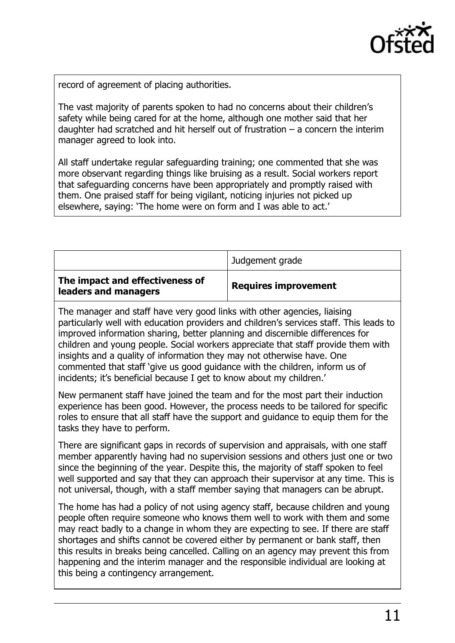

record of agreement of placing authorities.

The vast majority of parents spoken to had no concerns about their children's safety while being cared for at the home, although one mother said that her daughter had scratched and hit herself out of frustration  $-$  a concern the interim manager agreed to look into.

All staff undertake regular safeguarding training; one commented that she was more observant regarding things like bruising as a result. Social workers report that safeguarding concerns have been appropriately and promptly raised with them. One praised staff for being vigilant, noticing injuries not picked up elsewhere, saying: 'The home were on form and I was able to act.'

|                                                         | Judgement grade             |
|---------------------------------------------------------|-----------------------------|
| The impact and effectiveness of<br>leaders and managers | <b>Requires improvement</b> |

The manager and staff have very good links with other agencies, liaising particularly well with education providers and children's services staff. This leads to improved information sharing, better planning and discernible differences for children and young people. Social workers appreciate that staff provide them with insights and a quality of information they may not otherwise have. One commented that staff 'give us good guidance with the children, inform us of incidents; it's beneficial because I get to know about my children.'

New permanent staff have joined the team and for the most part their induction experience has been good. However, the process needs to be tailored for specific roles to ensure that all staff have the support and guidance to equip them for the tasks they have to perform.

There are significant gaps in records of supervision and appraisals, with one staff member apparently having had no supervision sessions and others just one or two since the beginning of the year. Despite this, the majority of staff spoken to feel well supported and say that they can approach their supervisor at any time. This is not universal, though, with a staff member saying that managers can be abrupt.

The home has had a policy of not using agency staff, because children and young people often require someone who knows them well to work with them and some may react badly to a change in whom they are expecting to see. If there are staff shortages and shifts cannot be covered either by permanent or bank staff, then this results in breaks being cancelled. Calling on an agency may prevent this from happening and the interim manager and the responsible individual are looking at this being a contingency arrangement.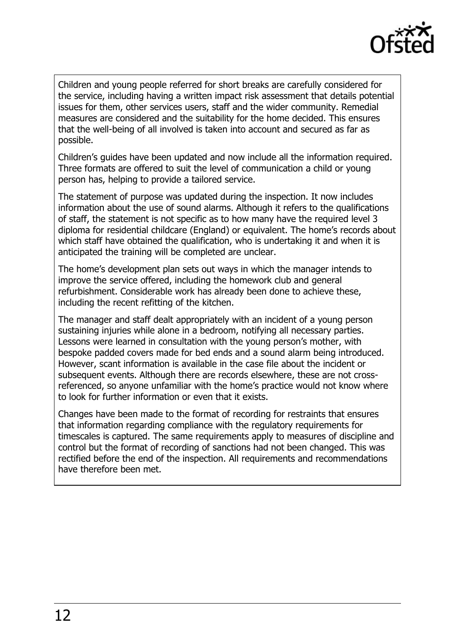

Children and young people referred for short breaks are carefully considered for the service, including having a written impact risk assessment that details potential issues for them, other services users, staff and the wider community. Remedial measures are considered and the suitability for the home decided. This ensures that the well-being of all involved is taken into account and secured as far as possible.

Children's guides have been updated and now include all the information required. Three formats are offered to suit the level of communication a child or young person has, helping to provide a tailored service.

The statement of purpose was updated during the inspection. It now includes information about the use of sound alarms. Although it refers to the qualifications of staff, the statement is not specific as to how many have the required level 3 diploma for residential childcare (England) or equivalent. The home's records about which staff have obtained the qualification, who is undertaking it and when it is anticipated the training will be completed are unclear.

The home's development plan sets out ways in which the manager intends to improve the service offered, including the homework club and general refurbishment. Considerable work has already been done to achieve these, including the recent refitting of the kitchen.

The manager and staff dealt appropriately with an incident of a young person sustaining injuries while alone in a bedroom, notifying all necessary parties. Lessons were learned in consultation with the young person's mother, with bespoke padded covers made for bed ends and a sound alarm being introduced. However, scant information is available in the case file about the incident or subsequent events. Although there are records elsewhere, these are not crossreferenced, so anyone unfamiliar with the home's practice would not know where to look for further information or even that it exists.

Changes have been made to the format of recording for restraints that ensures that information regarding compliance with the regulatory requirements for timescales is captured. The same requirements apply to measures of discipline and control but the format of recording of sanctions had not been changed. This was rectified before the end of the inspection. All requirements and recommendations have therefore been met.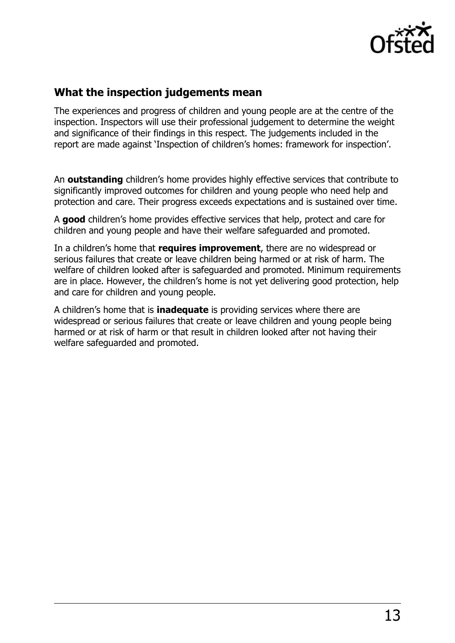

#### **What the inspection judgements mean**

The experiences and progress of children and young people are at the centre of the inspection. Inspectors will use their professional judgement to determine the weight and significance of their findings in this respect. The judgements included in the report are made against 'Inspection of children's homes: framework for inspection'.

An **outstanding** children's home provides highly effective services that contribute to significantly improved outcomes for children and young people who need help and protection and care. Their progress exceeds expectations and is sustained over time.

A **good** children's home provides effective services that help, protect and care for children and young people and have their welfare safeguarded and promoted.

In a children's home that **requires improvement**, there are no widespread or serious failures that create or leave children being harmed or at risk of harm. The welfare of children looked after is safeguarded and promoted. Minimum requirements are in place. However, the children's home is not yet delivering good protection, help and care for children and young people.

A children's home that is **inadequate** is providing services where there are widespread or serious failures that create or leave children and young people being harmed or at risk of harm or that result in children looked after not having their welfare safeguarded and promoted.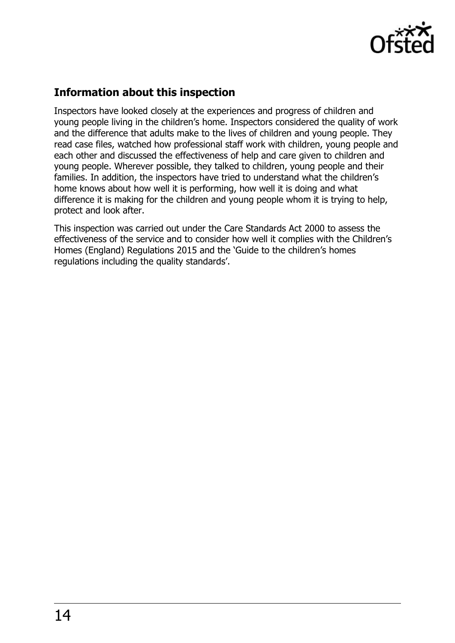

## **Information about this inspection**

Inspectors have looked closely at the experiences and progress of children and young people living in the children's home. Inspectors considered the quality of work and the difference that adults make to the lives of children and young people. They read case files, watched how professional staff work with children, young people and each other and discussed the effectiveness of help and care given to children and young people. Wherever possible, they talked to children, young people and their families. In addition, the inspectors have tried to understand what the children's home knows about how well it is performing, how well it is doing and what difference it is making for the children and young people whom it is trying to help, protect and look after.

This inspection was carried out under the Care Standards Act 2000 to assess the effectiveness of the service and to consider how well it complies with the Children's Homes (England) Regulations 2015 and the 'Guide to the children's homes regulations including the quality standards'.